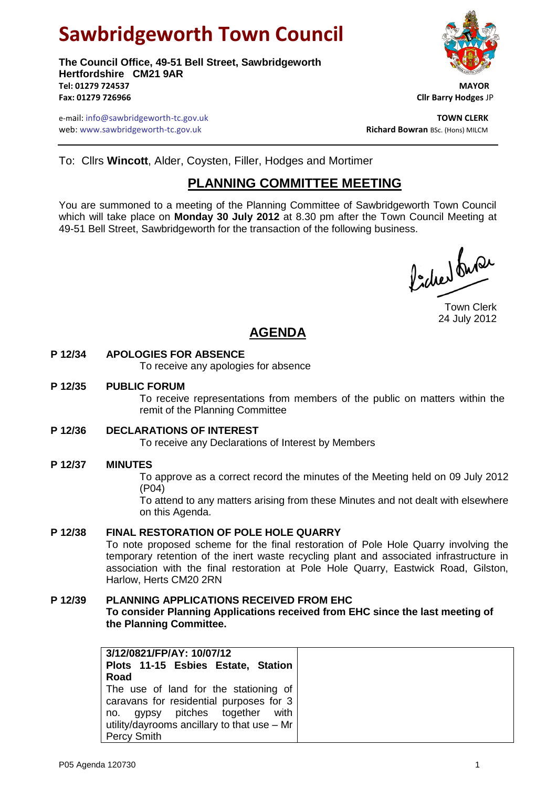# **Sawbridgeworth Town Council**

**The Council Office, 49-51 Bell Street, Sawbridgeworth Hertfordshire CM21 9AR Tel: 01279 724537 MAYOR Fax: 01279 726966 Cllr Barry Hodges** JP



e-mail: info@sawbridgeworth-tc.gov.uk **TOWN CLERK** web: www.sawbridgeworth-tc.gov.uk<br> **Richard Bowran** BSc. (Hons) MILCM

To: Cllrs **Wincott**, Alder, Coysten, Filler, Hodges and Mortimer

# **PLANNING COMMITTEE MEETING**

You are summoned to a meeting of the Planning Committee of Sawbridgeworth Town Council which will take place on **Monday 30 July 2012** at 8.30 pm after the Town Council Meeting at 49-51 Bell Street, Sawbridgeworth for the transaction of the following business.

Picked fune

Town Clerk 24 July 2012

# **AGENDA**

#### **P 12/34 APOLOGIES FOR ABSENCE**

To receive any apologies for absence

#### **P 12/35 PUBLIC FORUM**

To receive representations from members of the public on matters within the remit of the Planning Committee

#### **P 12/36 DECLARATIONS OF INTEREST**

To receive any Declarations of Interest by Members

#### **P 12/37 MINUTES**

To approve as a correct record the minutes of the Meeting held on 09 July 2012 (P04)

To attend to any matters arising from these Minutes and not dealt with elsewhere on this Agenda.

#### **P 12/38 FINAL RESTORATION OF POLE HOLE QUARRY**

To note proposed scheme for the final restoration of Pole Hole Quarry involving the temporary retention of the inert waste recycling plant and associated infrastructure in association with the final restoration at Pole Hole Quarry, Eastwick Road, Gilston, Harlow, Herts CM20 2RN

#### **P 12/39 PLANNING APPLICATIONS RECEIVED FROM EHC**

**To consider Planning Applications received from EHC since the last meeting of the Planning Committee.**

| 3/12/0821/FP/AY: 10/07/12                   |  |                                         |  |  |  |  |  |  |  |  |
|---------------------------------------------|--|-----------------------------------------|--|--|--|--|--|--|--|--|
|                                             |  | Plots 11-15 Esbies Estate, Station      |  |  |  |  |  |  |  |  |
| Road                                        |  |                                         |  |  |  |  |  |  |  |  |
|                                             |  | The use of land for the stationing of   |  |  |  |  |  |  |  |  |
|                                             |  | caravans for residential purposes for 3 |  |  |  |  |  |  |  |  |
|                                             |  | no. gypsy pitches together with         |  |  |  |  |  |  |  |  |
| utility/dayrooms ancillary to that use - Mr |  |                                         |  |  |  |  |  |  |  |  |
| <b>Percy Smith</b>                          |  |                                         |  |  |  |  |  |  |  |  |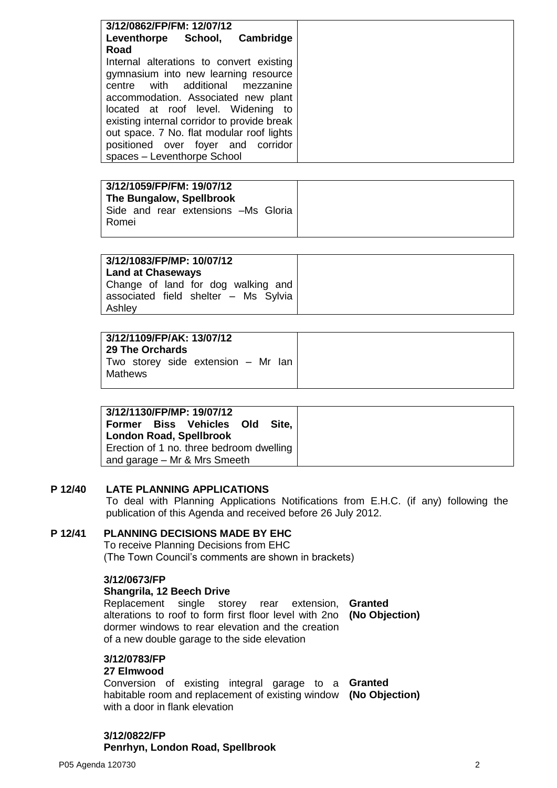| 3/12/0862/FP/FM: 12/07/12                   |  |  |
|---------------------------------------------|--|--|
| Leventhorpe School, Cambridge               |  |  |
| Road                                        |  |  |
| Internal alterations to convert existing    |  |  |
| gymnasium into new learning resource        |  |  |
| centre with additional mezzanine            |  |  |
| accommodation. Associated new plant         |  |  |
| located at roof level. Widening to          |  |  |
| existing internal corridor to provide break |  |  |
| out space. 7 No. flat modular roof lights   |  |  |
| positioned over foyer and corridor          |  |  |
| spaces - Leventhorpe School                 |  |  |

| 3/12/1059/FP/FM: 19/07/12<br>The Bungalow, Spellbrook<br>Side and rear extensions -Ms Gloria |
|----------------------------------------------------------------------------------------------|
|                                                                                              |

| 3/12/1083/FP/MP: 10/07/12<br>Land at Chaseways                                       |  |
|--------------------------------------------------------------------------------------|--|
| Change of land for dog walking and<br>associated field shelter - Ms Sylvia<br>Ashley |  |

| 29 The Orchards<br>Two storey side extension – Mr Ian<br>Mathews |
|------------------------------------------------------------------|
|                                                                  |

#### **P 12/40 LATE PLANNING APPLICATIONS**

To deal with Planning Applications Notifications from E.H.C. (if any) following the publication of this Agenda and received before 26 July 2012.

#### **P 12/41 PLANNING DECISIONS MADE BY EHC**

To receive Planning Decisions from EHC (The Town Council's comments are shown in brackets)

#### **3/12/0673/FP**

### **Shangrila, 12 Beech Drive**

Replacement single storey rear extension, **Granted** alterations to roof to form first floor level with 2no **(No Objection)** dormer windows to rear elevation and the creation of a new double garage to the side elevation

# **3/12/0783/FP**

## **27 Elmwood**

Conversion of existing integral garage to a **Granted** habitable room and replacement of existing window **(No Objection)** with a door in flank elevation

**3/12/0822/FP Penrhyn, London Road, Spellbrook**